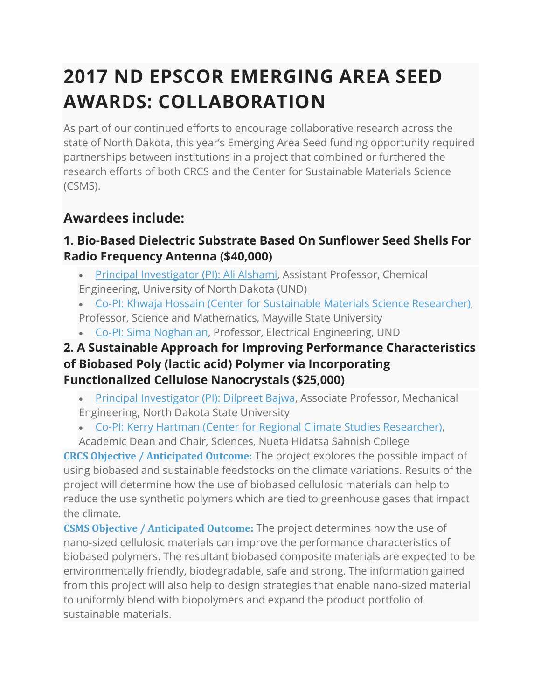# **2017 ND EPSCOR EMERGING AREA SEED AWARDS: COLLABORATION**

As part of our continued efforts to encourage collaborative research across the state of North Dakota, this year's Emerging Area Seed funding opportunity required partnerships between institutions in a project that combined or furthered the research efforts of both CRCS and the Center for Sustainable Materials Science (CSMS).

# **Awardees include:**

## **1. Bio-Based Dielectric Substrate Based On Sunflower Seed Shells For Radio Frequency Antenna (\$40,000)**

- Principal [Investigator](https://engineering.und.edu/chemical/_files/docs/cv_dept_aalshami.pdf) (PI): Ali Alshami, Assistant Professor, Chemical
- Engineering, University of North Dakota (UND)
- Co-PI: Khwaja Hossain (Center for Sustainable Materials Science [Researcher\),](http://csms-ndsu.org/research/#toggle-id-6)
- Professor, Science and Mathematics, Mayville State University
- Co-PI: Sima [Noghanian,](https://engineering.und.edu/electrical/faculty/sima/) Professor, Electrical Engineering, UND

#### **2. A Sustainable Approach for Improving Performance Characteristics of Biobased Poly (lactic acid) Polymer via Incorporating Functionalized Cellulose Nanocrystals (\$25,000)**

- Principal [Investigator](https://www.ndsu.edu/me/faculty/bajwa.php) (PI): Dilpreet Bajwa, Associate Professor, Mechanical Engineering, North Dakota State University
- Co-PI: Kerry Hartman (Center for Regional Climate Studies [Researcher\),](http://und-crcs.org/research-team/#toggle-id-15)
- Academic Dean and Chair, Sciences, Nueta Hidatsa Sahnish College

**CRCS Objective / Anticipated Outcome:** The project explores the possible impact of using biobased and sustainable feedstocks on the climate variations. Results of the project will determine how the use of biobased cellulosic materials can help to reduce the use synthetic polymers which are tied to greenhouse gases that impact the climate.

**CSMS Objective / Anticipated Outcome:** The project determines how the use of nano-sized cellulosic materials can improve the performance characteristics of biobased polymers. The resultant biobased composite materials are expected to be environmentally friendly, biodegradable, safe and strong. The information gained from this project will also help to design strategies that enable nano-sized material to uniformly blend with biopolymers and expand the product portfolio of sustainable materials.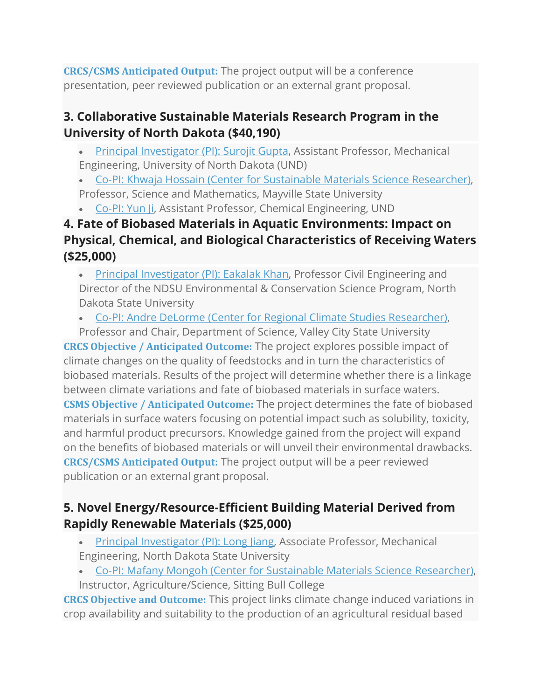**CRCS/CSMS Anticipated Output:** The project output will be a conference presentation, peer reviewed publication or an external grant proposal.

#### **3. Collaborative Sustainable Materials Research Program in the University of North Dakota (\$40,190)**

- Principal [Investigator](https://engineering.und.edu/mechanical/faculty/surojit-gupta-info.cfm) (PI): Surojit Gupta, Assistant Professor, Mechanical Engineering, University of North Dakota (UND)
- Co-PI: Khwaja Hossain (Center for Sustainable Materials Science [Researcher\),](http://csms-ndsu.org/research/#toggle-id-6) Professor, Science and Mathematics, Mayville State University
- [Co-PI:](https://engineering.und.edu/chemical/faculty/yun-ji.cfm) Yun Li, Assistant Professor, Chemical Engineering, UND

# **4. Fate of Biobased Materials in Aquatic Environments: Impact on Physical, Chemical, and Biological Characteristics of Receiving Waters (\$25,000)**

• Principal [Investigator](https://www.ndsu.edu/ce/faculty/Eakalak_Khan/) (PI): Eakalak Khan, Professor Civil Engineering and Director of the NDSU Environmental & Conservation Science Program, North Dakota State University

• Co-PI: Andre DeLorme (Center for Regional Climate Studies [Researcher\),](http://und-crcs.org/research-team/#toggle-id-9)

Professor and Chair, Department of Science, Valley City State University

**CRCS Objective / Anticipated Outcome:** The project explores possible impact of climate changes on the quality of feedstocks and in turn the characteristics of biobased materials. Results of the project will determine whether there is a linkage between climate variations and fate of biobased materials in surface waters. **CSMS Objective / Anticipated Outcome:** The project determines the fate of biobased materials in surface waters focusing on potential impact such as solubility, toxicity, and harmful product precursors. Knowledge gained from the project will expand on the benefits of biobased materials or will unveil their environmental drawbacks. **CRCS/CSMS Anticipated Output:** The project output will be a peer reviewed publication or an external grant proposal.

## **5. Novel Energy/Resource-Efficient Building Material Derived from Rapidly Renewable Materials (\$25,000)**

- Principal [Investigator](https://www.ndsu.edu/me/faculty.php) (PI): Long Jiang, Associate Professor, Mechanical Engineering, North Dakota State University
- Co-PI: Mafany Mongoh (Center for Sustainable Materials Science [Researcher\),](http://csms-ndsu.org/research/#toggle-id-8)
- Instructor, Agriculture/Science, Sitting Bull College

**CRCS Objective and Outcome:** This project links climate change induced variations in crop availability and suitability to the production of an agricultural residual based